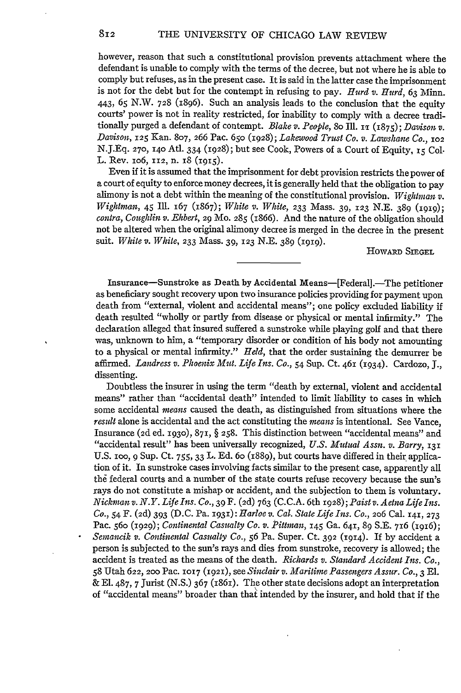however, reason that such a constitutional provision prevents attachment where the defendant is unable to comply with the terms of the decree, but not where he is able to comply but refuses, as in the present case. It is said in the latter case the imprisonment is not for the debt but for the contempt in refusing to pay. *Hurd v. Hurd,* 63 Minn. 443, **65** N.W. **728** (1896). Such an analysis leads to the conclusion that the equity courts' power is not in reality restricted, for inability to comply with a decree traditionally purged a defendant of contempt. *Blake v. People*, 80 Ill. 11 (1875); *Davison v. Davison,* **125** Kan. **807,** 266 Pac. **650** (1928); *Lakewood Trust Co. v. Lawshane Co., 102* N.J.Eq. **270, 14o** Atl. 334 **(1928);** but see Cook, Powers of a Court of Equity, **15** Col. L. Rev. lo6, **112,** n. 18 (1915).

Even if it is assumed that the imprisonment for debt provision restricts the power of a court of equity to enforce money decrees, it is generally held that the obligation to pay alimony is not a debt within the meaning of the constitutional provision. *Wiglitinan v. Wightman, 45* **Ill.** 167 (1867); *White v. White,* **233** Mass. 39, 123 N.E. 389 (1919); *contra, Coughlin v. Ehbert,* 29 Mo. **285** (1866). And the nature of the obligation should not be altered when the original alimony decree is merged in the decree in the present suit. *White v. White,* **233** Mass. 39, 123 N.E. 389 **(1919).**

HOWARD **SIEGEL**

Insurance-Sunstroke as Death by Accidental Means-[Federal].-The petitioner as beneficiary sought recovery upon two insurance policies providing for payment upon death from "external, violent and accidental means"; one policy excluded liability if death resulted "wholly or partly from disease or physical or mental infirmity." The declaration alleged that insured suffered a sunstroke while playing golf and that there was, unknown to him, a "temporary disorder or condition of his body not amounting to a physical or mental infirmity." *Held,* that the order sustaining the demurrer be affirmed. *Landress v. Phoenix Mitt. Life Ins. Co.,* 54 Sup. Ct. 461 (1934). Cardozo, J., dissenting.

Doubtless the insurer in using the term "death by external, violent and accidental means" rather than "accidental death" intended to limit liability to cases in which some accidental *means* caused the death, as distinguished from situations where the *result* alone is accidental and the act constituting the *means* is intentional. See Vance, Insurance **(2d** ed. **1930), 871,** § **258.** This distinction between "accidental means" and "accidental result" has been universally recognized, *U.S. Mutual Assn. v. Barry, <sup>131</sup>* U.S. **100,** 9 Sup. Ct. 755, **33** L. Ed. 6o (r889), but courts have differed in their application of it. In sunstroke cases involving facts similar to the present case, apparently all the federal courts and a number of the state courts refuse recovery because the sun's rays do not constitute a mishap or accident, and the subjection to them is voluntary. *Nickman v. N.Y. Life Ins. Co.,* **39** F. **(2d)** 763 (C.C.A. 6th **1928);** *Paist v. Aetna Life Ins. Co.,* 54 F. **(2d)** 393 (D.C. Pa. 1931): *Harloe v. Cal. State Life Ins. Co.,* **206** Cal. 141, **<sup>273</sup>** Pac. 56o (1929); *Continental Casualty Co. v. Pittman*, 145 Ga. 641, 89 S.E. 716 (1916); *Semancik v. Continental Casualty Co.,* **56** Pa. Super. Ct. **392** (1914). If by accident a person is subjected to the sun's rays and dies from sunstroke, recovery is allowed; the accident is treated as the means of the death. *Richards v. Standard Accident Ins. Co.,* **58** Utah 622, **200** Pac. **1017** (1921), see *Sinclair v. Maritime Passengers Assur. Co.,* 3 El. & El. 487, 7 Jurist (N.S.) 367 (1861). The other state decisions adopt an interpretation of "accidental means" broader than that intended by the insurer, and hold that if the

 $812$